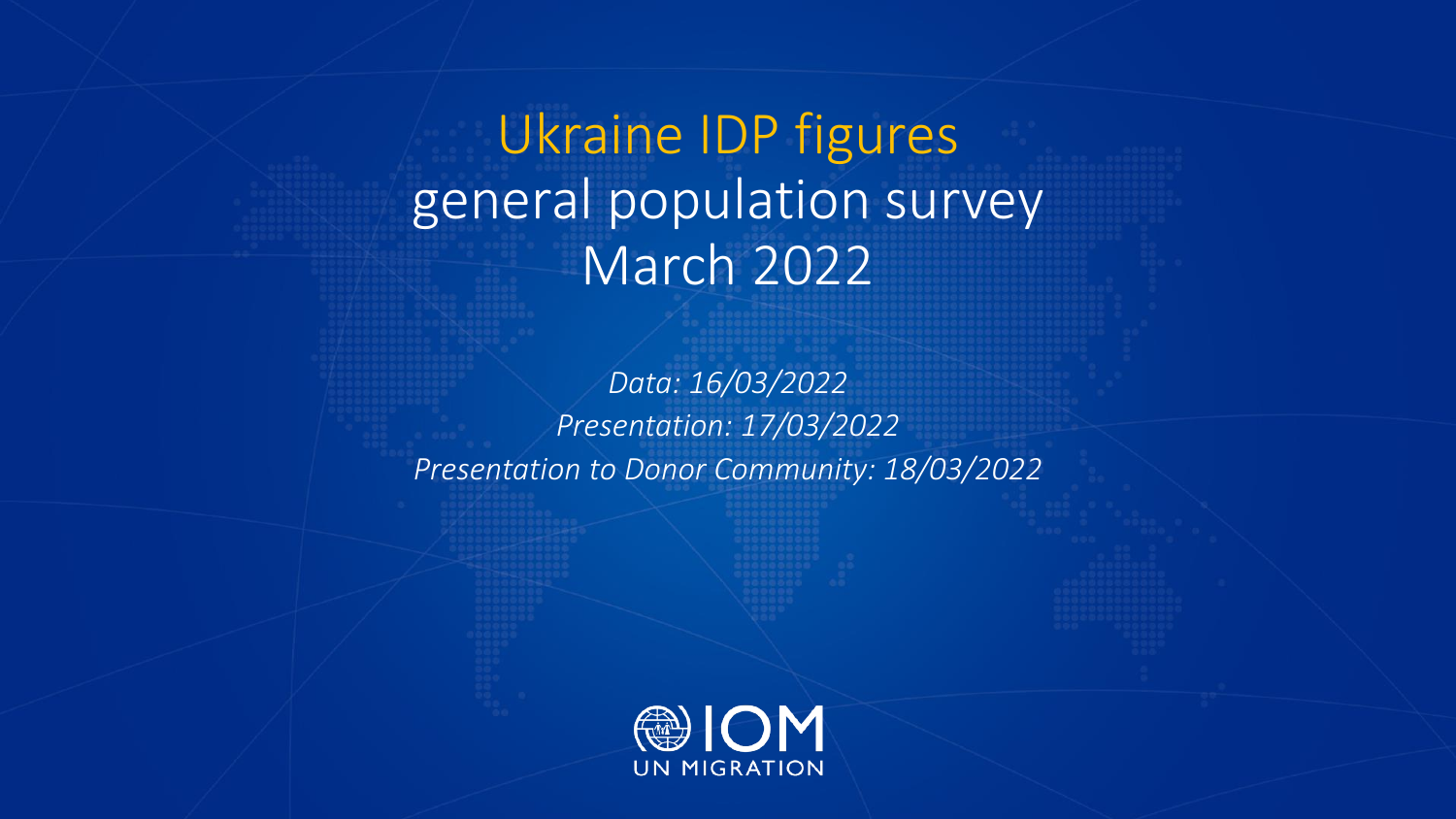Ukraine IDP figures general population survey March 2022

*Data: 16/03/2022 Presentation: 17/03/2022 Presentation to Donor Community: 18/03/2022*

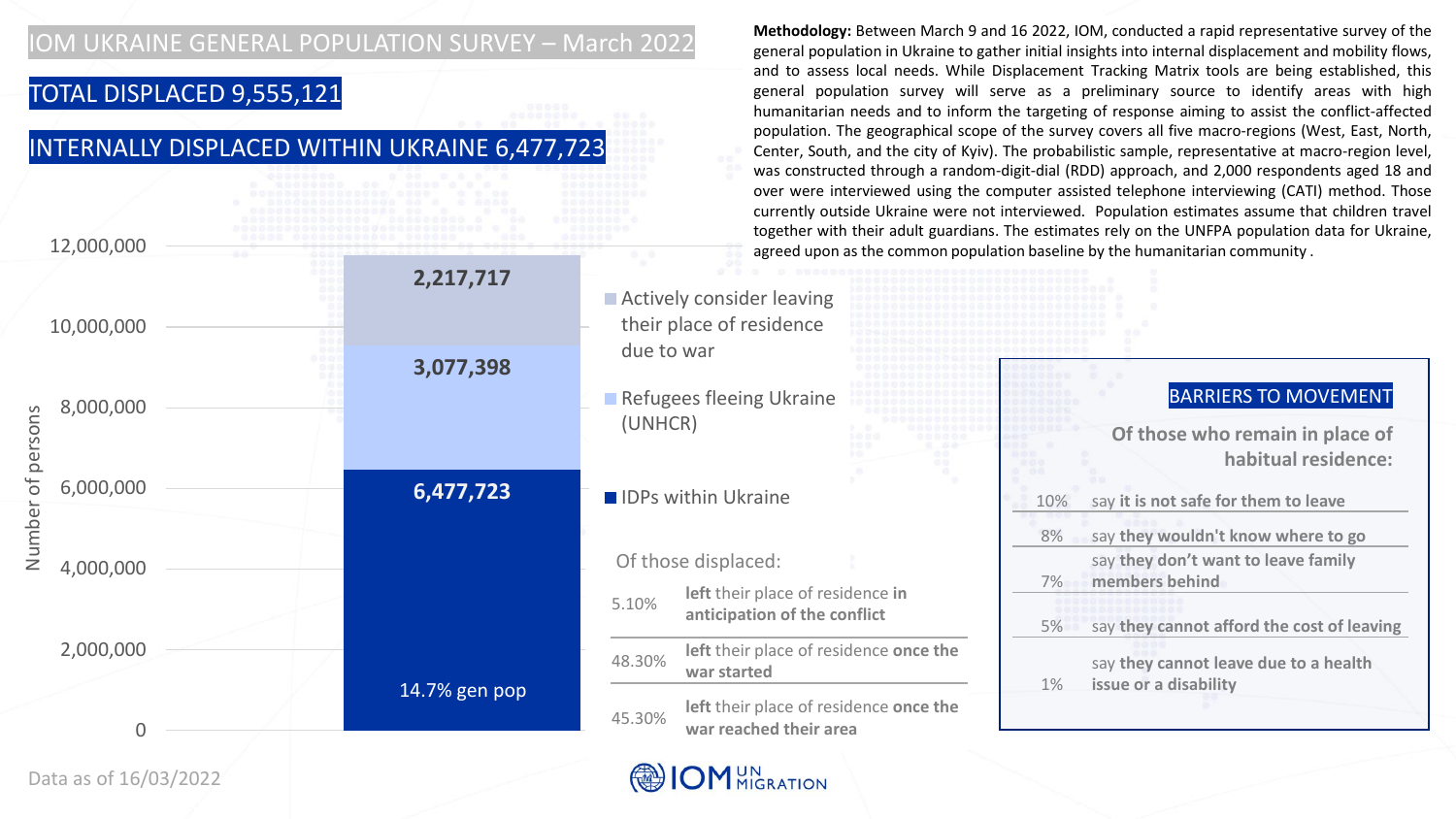## TOTAL DISPLACED 9,555,121

# INTERNALLY DISPLACED WITHIN UKRAINE 6,477,723

| 12,000,000            |               | agreed upon as the common population baseline by the humanitarian community. |          | currently outside Ukraine were not interviewed. Population estimates assume that children travel<br>together with their adult guardians. The estimates rely on the UNFPA population data for Ukraine, |
|-----------------------|---------------|------------------------------------------------------------------------------|----------|-------------------------------------------------------------------------------------------------------------------------------------------------------------------------------------------------------|
| 10,000,000            | 2,217,717     | ■ Actively consider leaving<br>their place of residence                      |          |                                                                                                                                                                                                       |
| 8,000,000<br>per      | 3,077,398     | due to war<br>Refugees fleeing Ukraine<br>(UNHCR)                            |          | <b>BARRIERS TO MOVEMENT</b><br>Of those who remain in place of<br>habitual residence:                                                                                                                 |
| 6,000,000<br>Ö        | 6,477,723     | <b>IDPs within Ukraine</b>                                                   | 10%      | say it is not safe for them to leave                                                                                                                                                                  |
| min<br>Z<br>4,000,000 |               | Of those displaced:<br>left their place of residence in                      | 8%<br>7% | say they wouldn't know where to go<br>say they don't want to leave family<br>members behind                                                                                                           |
|                       |               | 5.10%<br>anticipation of the conflict                                        | 5%       | say they cannot afford the cost of leaving                                                                                                                                                            |
| 2,000,000             |               | left their place of residence once the<br>48.30%<br>war started              |          | say they cannot leave due to a health                                                                                                                                                                 |
|                       | 14.7% gen pop | left their place of residence once the<br>45.30%<br>war reached their area   | $1\%$    | issue or a disability                                                                                                                                                                                 |

**Methodology:** Between March 9 and 16 2022, IOM, conducted a rapid representative survey of the general population in Ukraine to gather initial insights into internal displacement and mobility flows, and to assess local needs. While Displacement Tracking Matrix tools are being established, this general population survey will serve as a preliminary source to identify areas with high humanitarian needs and to inform the targeting of response aiming to assist the conflict-affected population. The geographical scope of the survey covers all five macro-regions (West, East, North, Center, South, and the city of Kyiv). The probabilistic sample, representative at macro-region level, was constructed through a random-digit-dial (RDD) approach, and 2,000 respondents aged 18 and over were interviewed using the computer assisted telephone interviewing (CATI) method. Those

Data as of 16/03/2022

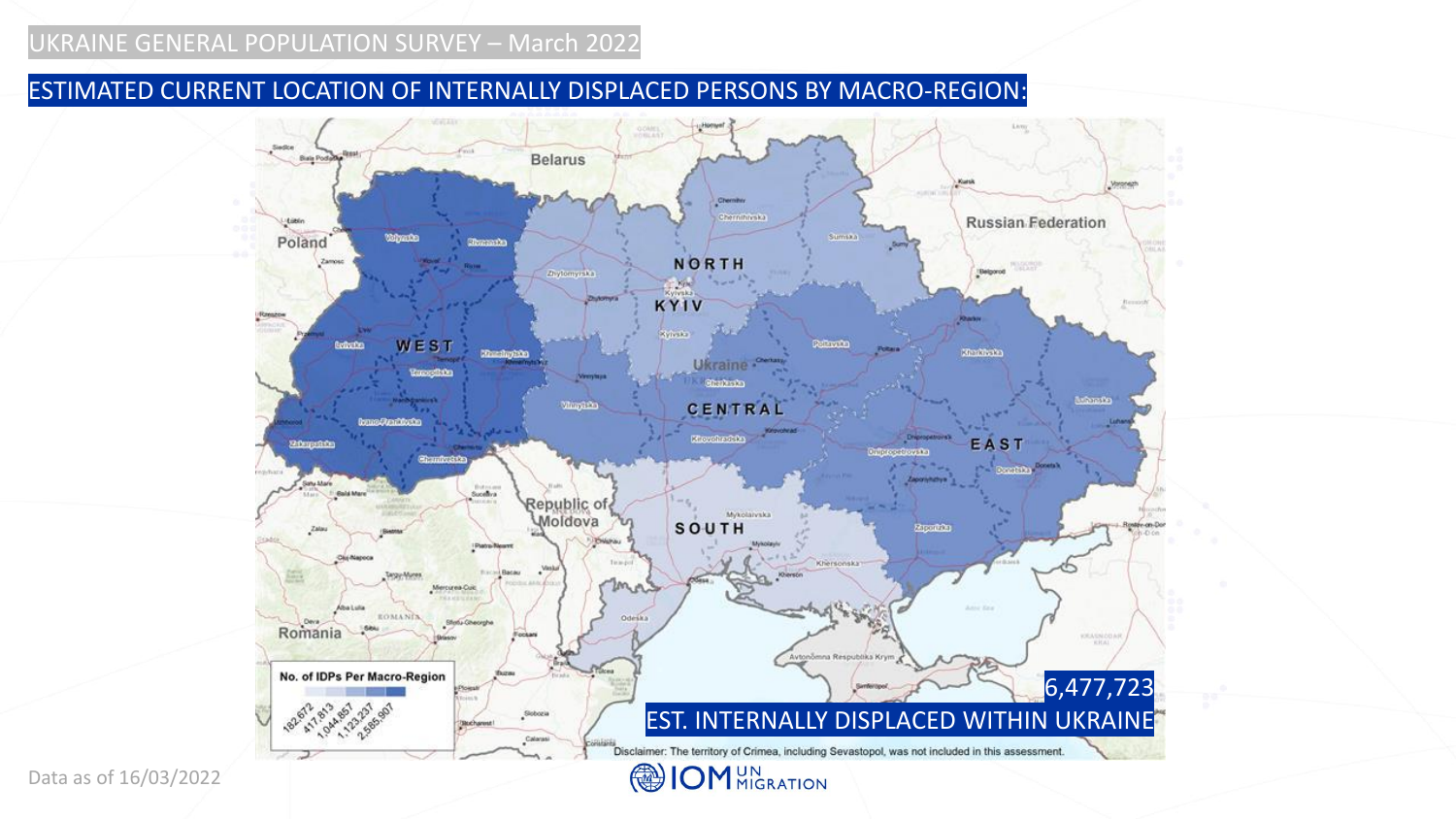### ESTIMATED CURRENT LOCATION OF INTERNALLY DISPLACED PERSONS BY MACRO-REGION:



Data as of 16/03/2022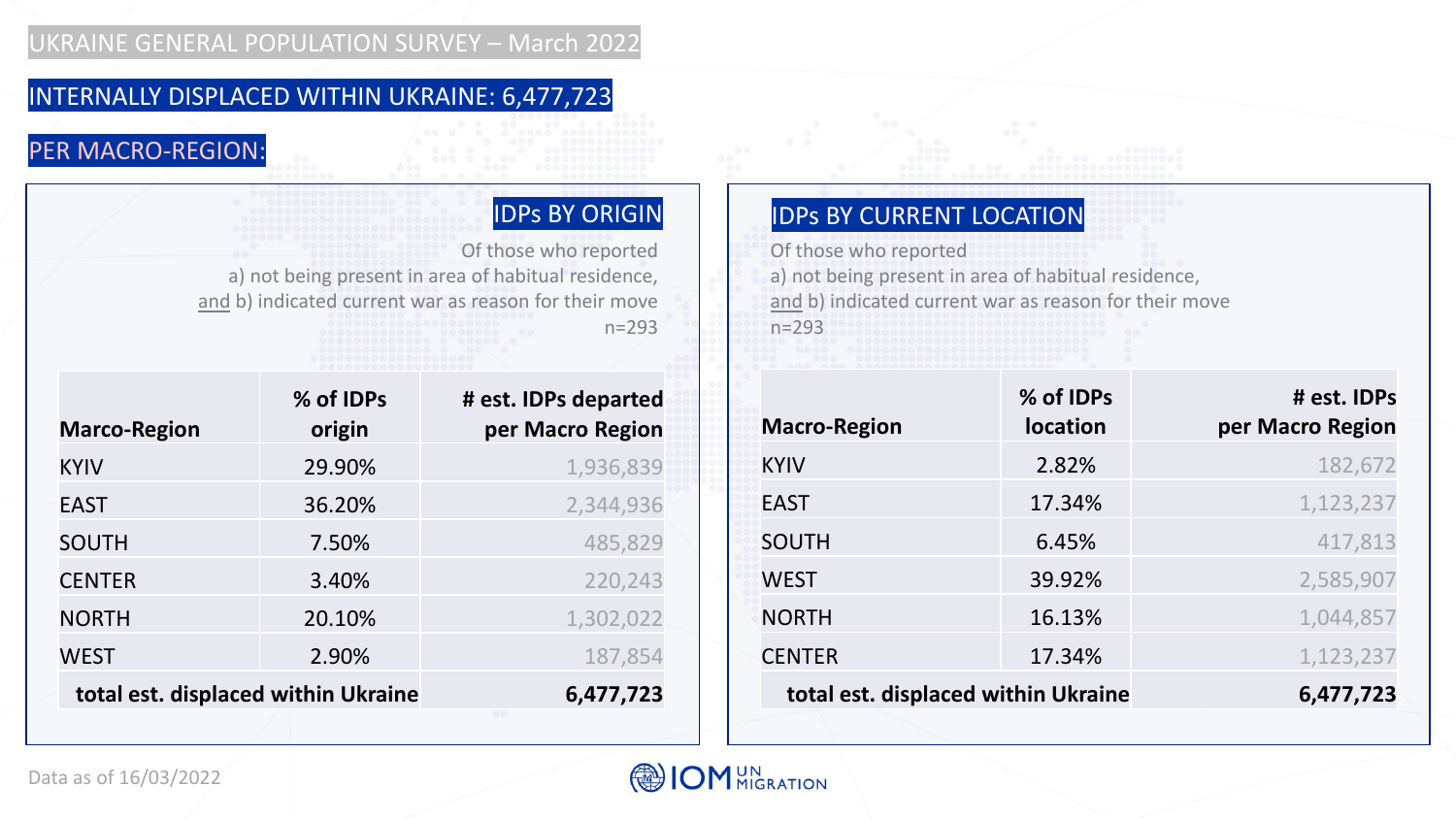# INTERNALLY DISPLACED WITHIN UKRAINE: 6,477,723

# PER MACRO-REGION:

Of those who reported a) not being present in area of habitual residence, and b) indicated current war as reason for their move n=293

| <b>Marco-Region</b>                 | % of IDPs<br>origin | # est. IDPs departed<br>per Macro Region |
|-------------------------------------|---------------------|------------------------------------------|
| <b>KYIV</b>                         | 29.90%              | 1,936,839                                |
| <b>EAST</b>                         | 36.20%              | 2,344,936                                |
| <b>SOUTH</b>                        | 7.50%               | 485,829                                  |
| <b>CENTER</b>                       | 3.40%               | 220,243                                  |
| <b>NORTH</b>                        | 20.10%              | 1,302,022                                |
| <b>WEST</b>                         | 2.90%               | 187,854                                  |
| total est. displaced within Ukraine |                     | 6,477,723                                |

# IDPs BY ORIGIN **IDPS BY CURRENT LOCATION**

Of those who reported

a) not being present in area of habitual residence, and b) indicated current war as reason for their move n=293

| <b>Macro-Region</b>                 | % of IDPs<br><b>location</b> | # est. IDPs<br>per Macro Region |
|-------------------------------------|------------------------------|---------------------------------|
| <b>KYIV</b>                         | 2.82%                        | 182,672                         |
| <b>EAST</b>                         | 17.34%                       | 1,123,237                       |
| <b>SOUTH</b>                        | 6.45%                        | 417,813                         |
| <b>WEST</b>                         | 39.92%                       | 2,585,907                       |
| <b>NORTH</b>                        | 16.13%                       | 1,044,857                       |
| <b>CENTER</b>                       | 17.34%                       | 1,123,237                       |
| total est. displaced within Ukraine |                              | 6,477,723                       |

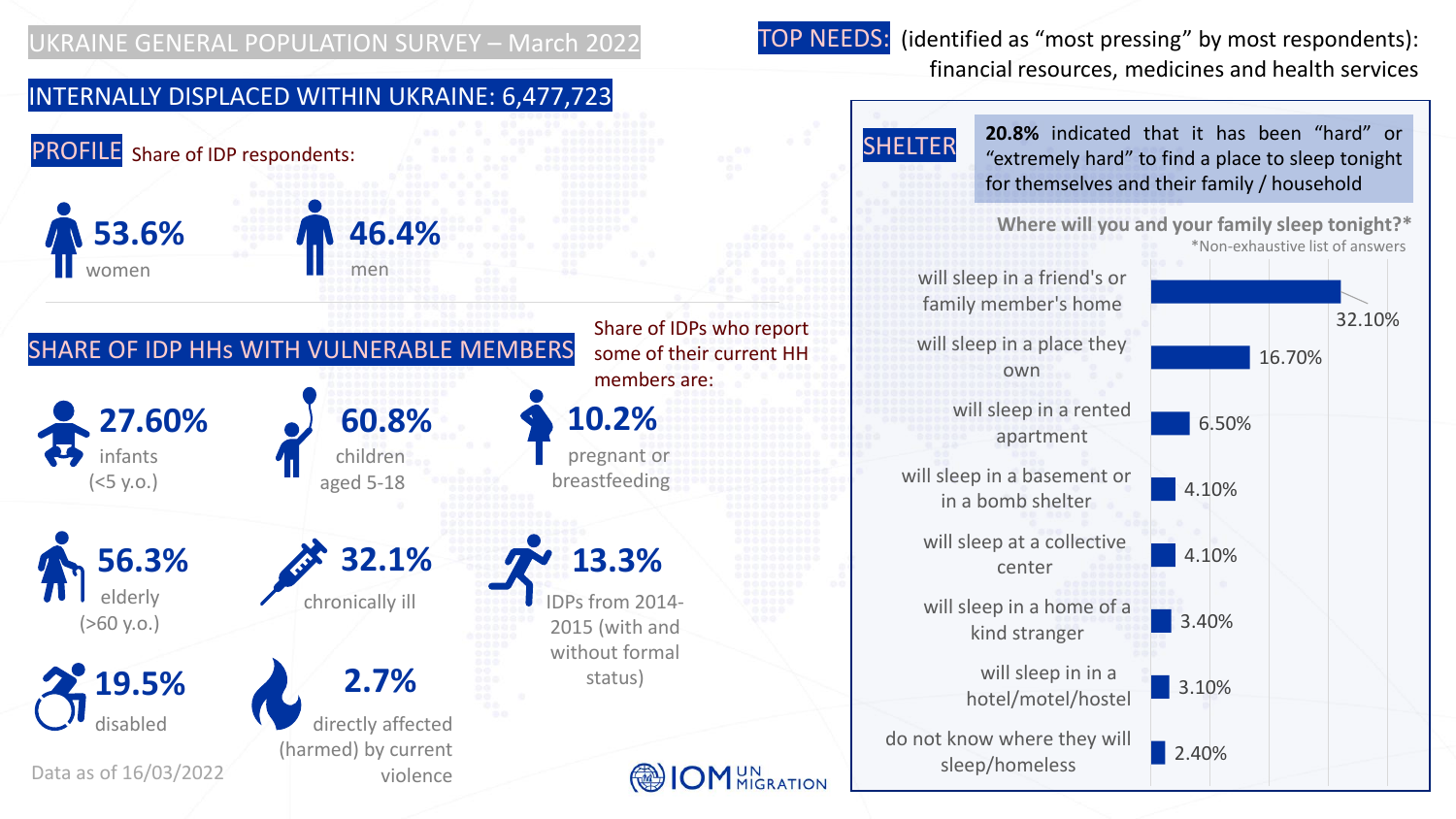TOP NEEDS: (identified as "most pressing" by most respondents): financial resources, medicines and health services

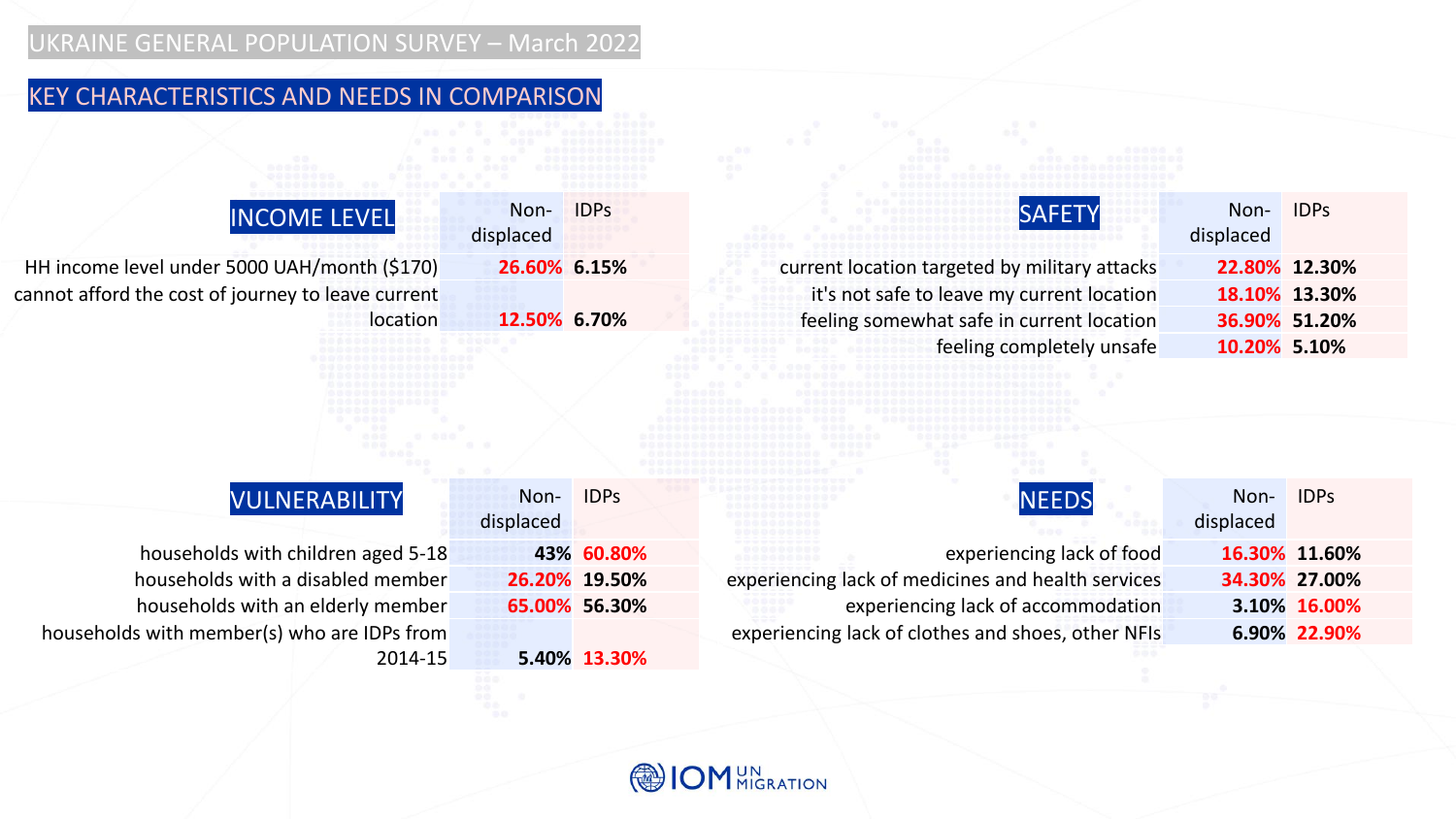# KEY CHARACTERISTICS AND NEEDS IN COMPARISON

| <b>SAFETY</b>                                                                            | <b>IDPs</b>                 | Non-<br>displaced | <b>INCOME LEVEL</b>                                                              |
|------------------------------------------------------------------------------------------|-----------------------------|-------------------|----------------------------------------------------------------------------------|
| current location targeted by military attacks                                            |                             | 26.60% 6.15%      | HH income level under 5000 UAH/month (\$170)                                     |
| it's not safe to leave my current location                                               |                             |                   | cannot afford the cost of journey to leave current                               |
| feeling somewhat safe in current location                                                |                             | 12.50% 6.70%      | location                                                                         |
| feeling completely unsafe                                                                |                             |                   |                                                                                  |
|                                                                                          |                             |                   |                                                                                  |
| <b>NEEDS</b>                                                                             | <b>IDPS</b>                 | Non-              | VULNERABILITY                                                                    |
|                                                                                          |                             | displaced         |                                                                                  |
| experiencing lack of food                                                                | 43% 60.80%<br>26.20% 19.50% |                   | households with children aged 5-18<br>households with a disabled member          |
| experiencing lack of medicines and health services                                       | 65.00% 56.30%               |                   |                                                                                  |
| experiencing lack of accommodation<br>experiencing lack of clothes and shoes, other NFIs |                             |                   | households with an elderly member<br>households with member(s) who are IDPs from |
|                                                                                          | 5.40% 13.30%                |                   | 2014-15                                                                          |



Non-

IDPs

current location targeted by military attacks **22.80% 12.30%** it's not safe to leave my current location **18.10% 13.30%** feeling somewhat safe in current location **36.90% 51.20%** feeling completely unsafe **10.20% 5.10%**

Non-IDPs

experiencing lack of food **16.30% 11.60%** experiencing lack of medicines and health services **34.30% 27.00%** experiencing lack of accommodation **3.10% 16.00%** experiencing lack of clothes and shoes, other NFIs **6.90% 22.90%**

displaced

displaced